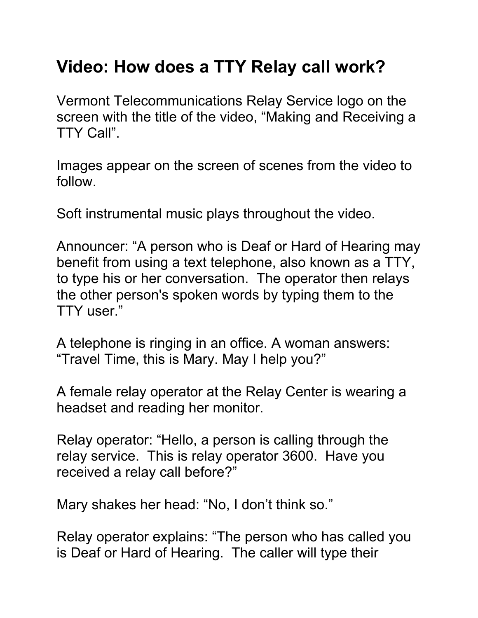## **Video: How does a TTY Relay call work?**

Vermont Telecommunications Relay Service logo on the screen with the title of the video, "Making and Receiving a TTY Call".

Images appear on the screen of scenes from the video to follow.

Soft instrumental music plays throughout the video.

Announcer: "A person who is Deaf or Hard of Hearing may benefit from using a text telephone, also known as a TTY, to type his or her conversation. The operator then relays the other person's spoken words by typing them to the TTY user."

A telephone is ringing in an office. A woman answers: "Travel Time, this is Mary. May I help you?"

A female relay operator at the Relay Center is wearing a headset and reading her monitor.

Relay operator: "Hello, a person is calling through the relay service. This is relay operator 3600. Have you received a relay call before?"

Mary shakes her head: "No, I don't think so."

Relay operator explains: "The person who has called you is Deaf or Hard of Hearing. The caller will type their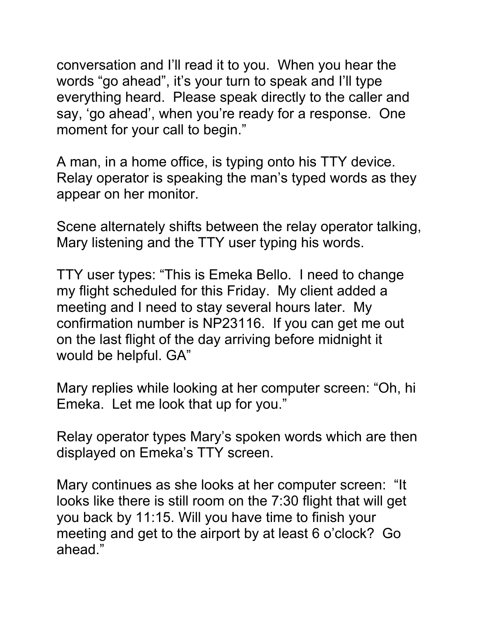conversation and I'll read it to you. When you hear the words "go ahead", it's your turn to speak and I'll type everything heard. Please speak directly to the caller and say, 'go ahead', when you're ready for a response. One moment for your call to begin."

A man, in a home office, is typing onto his TTY device. Relay operator is speaking the man's typed words as they appear on her monitor.

Scene alternately shifts between the relay operator talking, Mary listening and the TTY user typing his words.

TTY user types: "This is Emeka Bello. I need to change my flight scheduled for this Friday. My client added a meeting and I need to stay several hours later. My confirmation number is NP23116. If you can get me out on the last flight of the day arriving before midnight it would be helpful. GA"

Mary replies while looking at her computer screen: "Oh, hi Emeka. Let me look that up for you."

Relay operator types Mary's spoken words which are then displayed on Emeka's TTY screen.

Mary continues as she looks at her computer screen: "It looks like there is still room on the 7:30 flight that will get you back by 11:15. Will you have time to finish your meeting and get to the airport by at least 6 o'clock? Go ahead."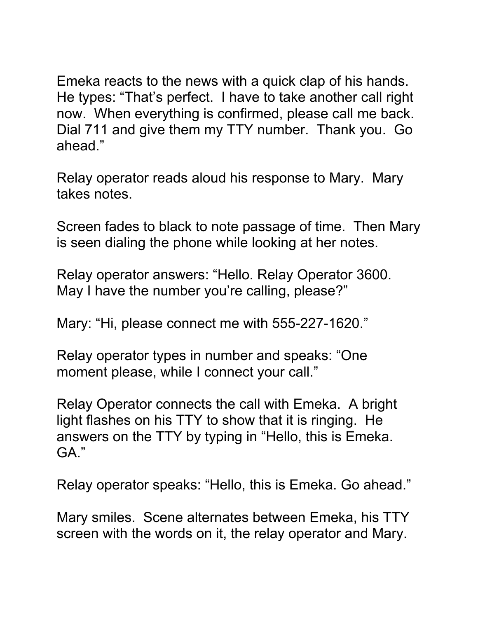Emeka reacts to the news with a quick clap of his hands. He types: "That's perfect. I have to take another call right now. When everything is confirmed, please call me back. Dial 711 and give them my TTY number. Thank you. Go ahead."

Relay operator reads aloud his response to Mary. Mary takes notes.

Screen fades to black to note passage of time. Then Mary is seen dialing the phone while looking at her notes.

Relay operator answers: "Hello. Relay Operator 3600. May I have the number you're calling, please?"

Mary: "Hi, please connect me with 555-227-1620."

Relay operator types in number and speaks: "One moment please, while I connect your call."

Relay Operator connects the call with Emeka. A bright light flashes on his TTY to show that it is ringing. He answers on the TTY by typing in "Hello, this is Emeka. GA."

Relay operator speaks: "Hello, this is Emeka. Go ahead."

Mary smiles. Scene alternates between Emeka, his TTY screen with the words on it, the relay operator and Mary.